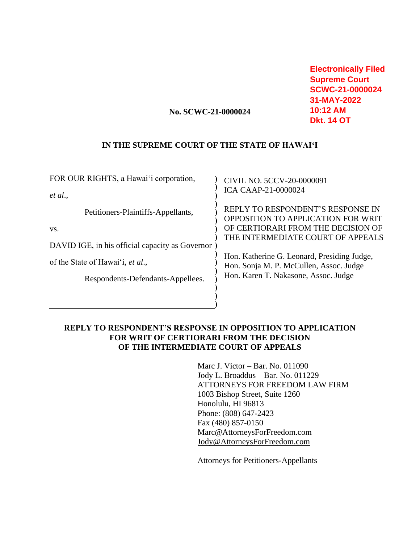**Electronically Filed Supreme Court SCWC-21-0000024 31-MAY-2022 10:12 AM Dkt. 14 OT**

## **No. SCWC-21-0000024**

### **IN THE SUPREME COURT OF THE STATE OF HAWAI'I**

| FOR OUR RIGHTS, a Hawai'i corporation,                                                       | CIVIL NO. 5CCV-20-0000091                                                                                                                                 |
|----------------------------------------------------------------------------------------------|-----------------------------------------------------------------------------------------------------------------------------------------------------------|
| et al.,                                                                                      | <b>ICA CAAP-21-0000024</b>                                                                                                                                |
| Petitioners-Plaintiffs-Appellants,<br>VS.<br>DAVID IGE, in his official capacity as Governor | REPLY TO RESPONDENT'S RESPONSE IN<br><b>OPPOSITION TO APPLICATION FOR WRIT</b><br>OF CERTIORARI FROM THE DECISION OF<br>THE INTERMEDIATE COURT OF APPEALS |
| of the State of Hawai'i, et al.,                                                             | Hon. Katherine G. Leonard, Presiding Judge,<br>Hon. Sonja M. P. McCullen, Assoc. Judge                                                                    |
| Respondents-Defendants-Appellees.                                                            | Hon. Karen T. Nakasone, Assoc. Judge                                                                                                                      |
|                                                                                              |                                                                                                                                                           |

# **REPLY TO RESPONDENT'S RESPONSE IN OPPOSITION TO APPLICATION FOR WRIT OF CERTIORARI FROM THE DECISION OF THE INTERMEDIATE COURT OF APPEALS**

Marc J. Victor – Bar. No. 011090 Jody L. Broaddus – Bar. No. 011229 ATTORNEYS FOR FREEDOM LAW FIRM 1003 Bishop Street, Suite 1260 Honolulu, HI 96813 Phone: (808) 647-2423 Fax (480) 857-0150 Marc@AttorneysForFreedom.com [Jody@AttorneysForFreedom.com](mailto:Jody@AttorneysForFreedom.com)

Attorneys for Petitioners-Appellants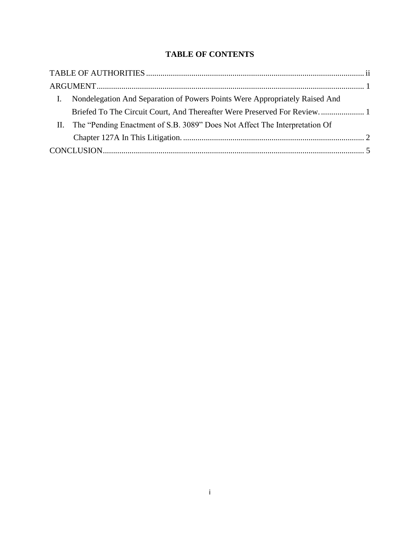# **TABLE OF CONTENTS**

| Nondelegation And Separation of Powers Points Were Appropriately Raised And    |  |
|--------------------------------------------------------------------------------|--|
| Briefed To The Circuit Court, And Thereafter Were Preserved For Review 1       |  |
| II. The "Pending Enactment of S.B. 3089" Does Not Affect The Interpretation Of |  |
|                                                                                |  |
|                                                                                |  |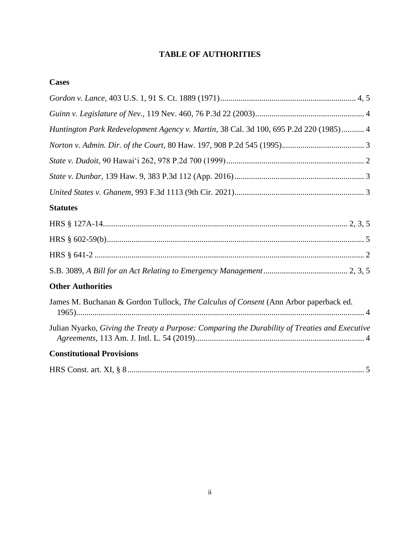# **TABLE OF AUTHORITIES**

| Huntington Park Redevelopment Agency v. Martin, 38 Cal. 3d 100, 695 P.2d 220 (1985) 4          |
|------------------------------------------------------------------------------------------------|
|                                                                                                |
|                                                                                                |
|                                                                                                |
|                                                                                                |
| <b>Statutes</b>                                                                                |
|                                                                                                |
|                                                                                                |
|                                                                                                |
|                                                                                                |
| <b>Other Authorities</b>                                                                       |
| James M. Buchanan & Gordon Tullock, The Calculus of Consent (Ann Arbor paperback ed.           |
| Julian Nyarko, Giving the Treaty a Purpose: Comparing the Durability of Treaties and Executive |
| <b>Constitutional Provisions</b>                                                               |
|                                                                                                |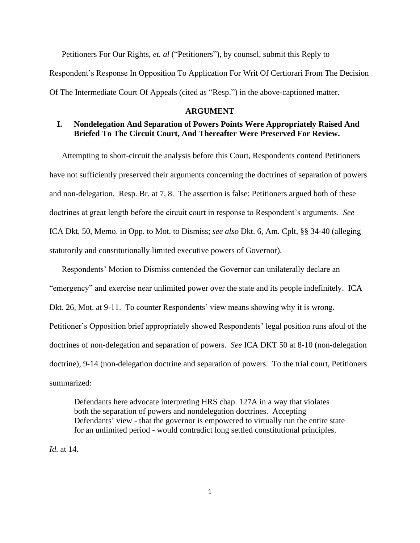Petitioners For Our Rights, *et. al* ("Petitioners"), by counsel, submit this Reply to Respondent's Response In Opposition To Application For Writ Of Certiorari From The Decision Of The Intermediate Court Of Appeals (cited as "Resp.") in the above-captioned matter.

#### **ARGUMENT**

# **I. Nondelegation And Separation of Powers Points Were Appropriately Raised And Briefed To The Circuit Court, And Thereafter Were Preserved For Review.**

Attempting to short-circuit the analysis before this Court, Respondents contend Petitioners have not sufficiently preserved their arguments concerning the doctrines of separation of powers and non-delegation. Resp. Br. at 7, 8. The assertion is false: Petitioners argued both of these doctrines at great length before the circuit court in response to Respondent's arguments. *See*  ICA Dkt. 50, Memo. in Opp. to Mot. to Dismiss; *see also* Dkt. 6, Am. Cplt, §§ 34-40 (alleging statutorily and constitutionally limited executive powers of Governor).

Respondents' Motion to Dismiss contended the Governor can unilaterally declare an "emergency" and exercise near unlimited power over the state and its people indefinitely. ICA Dkt. 26, Mot. at 9-11. To counter Respondents' view means showing why it is wrong. Petitioner's Opposition brief appropriately showed Respondents' legal position runs afoul of the doctrines of non-delegation and separation of powers. *See* ICA DKT 50 at 8-10 (non-delegation doctrine), 9-14 (non-delegation doctrine and separation of powers. To the trial court, Petitioners summarized:

Defendants here advocate interpreting HRS chap. 127A in a way that violates both the separation of powers and nondelegation doctrines. Accepting Defendants' view - that the governor is empowered to virtually run the entire state for an unlimited period - would contradict long settled constitutional principles.

*Id.* at 14.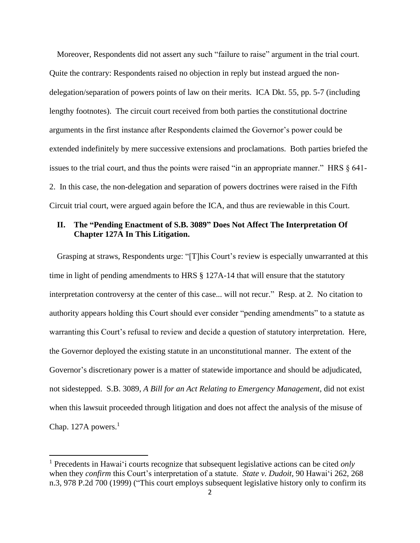Moreover, Respondents did not assert any such "failure to raise" argument in the trial court. Quite the contrary: Respondents raised no objection in reply but instead argued the nondelegation/separation of powers points of law on their merits. ICA Dkt. 55, pp. 5-7 (including lengthy footnotes). The circuit court received from both parties the constitutional doctrine arguments in the first instance after Respondents claimed the Governor's power could be extended indefinitely by mere successive extensions and proclamations. Both parties briefed the issues to the trial court, and thus the points were raised "in an appropriate manner." HRS § 641- 2. In this case, the non-delegation and separation of powers doctrines were raised in the Fifth Circuit trial court, were argued again before the ICA, and thus are reviewable in this Court.

## **II. The "Pending Enactment of S.B. 3089" Does Not Affect The Interpretation Of Chapter 127A In This Litigation.**

Grasping at straws, Respondents urge: "[T]his Court's review is especially unwarranted at this time in light of pending amendments to HRS § 127A-14 that will ensure that the statutory interpretation controversy at the center of this case... will not recur." Resp. at 2. No citation to authority appears holding this Court should ever consider "pending amendments" to a statute as warranting this Court's refusal to review and decide a question of statutory interpretation. Here, the Governor deployed the existing statute in an unconstitutional manner. The extent of the Governor's discretionary power is a matter of statewide importance and should be adjudicated, not sidestepped. S.B. 3089, *A Bill for an Act Relating to Emergency Management*, did not exist when this lawsuit proceeded through litigation and does not affect the analysis of the misuse of Chap. 127A powers. $<sup>1</sup>$ </sup>

<sup>1</sup> Precedents in Hawaiʻi courts recognize that subsequent legislative actions can be cited *only* when they *confirm* this Court's interpretation of a statute. *State v. Dudoit*, 90 Hawaiʻi 262, 268 n.3, 978 P.2d 700 (1999) ("This court employs subsequent legislative history only to confirm its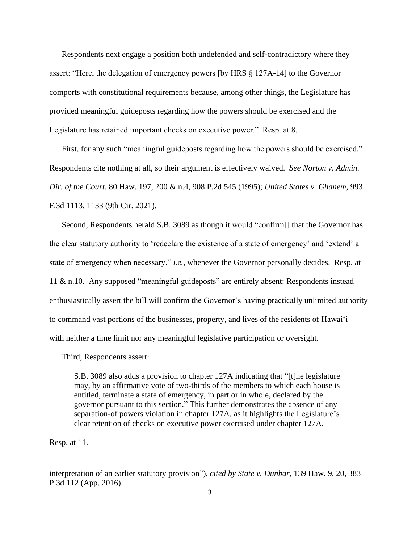Respondents next engage a position both undefended and self-contradictory where they assert: "Here, the delegation of emergency powers [by HRS § 127A-14] to the Governor comports with constitutional requirements because, among other things, the Legislature has provided meaningful guideposts regarding how the powers should be exercised and the Legislature has retained important checks on executive power." Resp. at 8.

First, for any such "meaningful guideposts regarding how the powers should be exercised," Respondents cite nothing at all, so their argument is effectively waived. *See Norton v. Admin. Dir. of the Court*, 80 Haw. 197, 200 & n.4, 908 P.2d 545 (1995); *United States v. Ghanem*, 993 F.3d 1113, 1133 (9th Cir. 2021).

Second, Respondents herald S.B. 3089 as though it would "confirm[] that the Governor has the clear statutory authority to 'redeclare the existence of a state of emergency' and 'extend' a state of emergency when necessary," *i.e.,* whenever the Governor personally decides. Resp. at 11 & n.10. Any supposed "meaningful guideposts" are entirely absent: Respondents instead enthusiastically assert the bill will confirm the Governor's having practically unlimited authority to command vast portions of the businesses, property, and lives of the residents of Hawaiʻi – with neither a time limit nor any meaningful legislative participation or oversight.

Third, Respondents assert:

S.B. 3089 also adds a provision to chapter 127A indicating that "[t]he legislature may, by an affirmative vote of two-thirds of the members to which each house is entitled, terminate a state of emergency, in part or in whole, declared by the governor pursuant to this section." This further demonstrates the absence of any separation-of powers violation in chapter 127A, as it highlights the Legislature's clear retention of checks on executive power exercised under chapter 127A.

Resp. at 11.

interpretation of an earlier statutory provision"), *cited by State v. Dunbar*, 139 Haw. 9, 20, 383 P.3d 112 (App. 2016).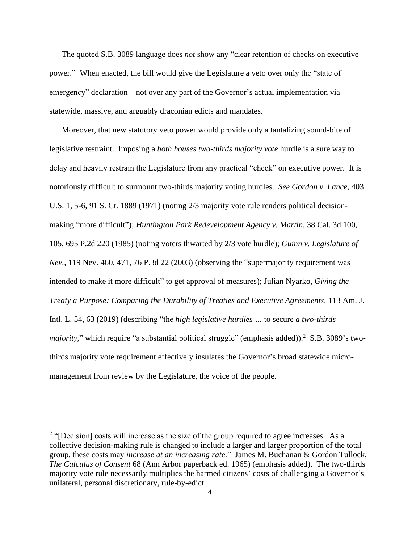The quoted S.B. 3089 language does *not* show any "clear retention of checks on executive power." When enacted, the bill would give the Legislature a veto over only the "state of emergency" declaration – not over any part of the Governor's actual implementation via statewide, massive, and arguably draconian edicts and mandates.

Moreover, that new statutory veto power would provide only a tantalizing sound-bite of legislative restraint. Imposing a *both houses two-thirds majority vote* hurdle is a sure way to delay and heavily restrain the Legislature from any practical "check" on executive power. It is notoriously difficult to surmount two-thirds majority voting hurdles. *See Gordon v. Lance*, 403 U.S. 1, 5-6, 91 S. Ct. 1889 (1971) (noting 2/3 majority vote rule renders political decisionmaking "more difficult"); *Huntington Park Redevelopment Agency v. Martin*, 38 Cal. 3d 100, 105, 695 P.2d 220 (1985) (noting voters thwarted by 2/3 vote hurdle); *Guinn v. Legislature of Nev.*, 119 Nev. 460, 471, 76 P.3d 22 (2003) (observing the "supermajority requirement was intended to make it more difficult" to get approval of measures); Julian Nyarko, *Giving the Treaty a Purpose: Comparing the Durability of Treaties and Executive Agreements*, 113 Am. J. Intl. L. 54, 63 (2019) (describing "the *high legislative hurdles …* to secure *a two-thirds*  majority," which require "a substantial political struggle" (emphasis added)).<sup>2</sup> S.B. 3089's twothirds majority vote requirement effectively insulates the Governor's broad statewide micromanagement from review by the Legislature, the voice of the people.

 $2$  "[Decision] costs will increase as the size of the group required to agree increases. As a collective decision-making rule is changed to include a larger and larger proportion of the total group, these costs may *increase at an increasing rate*." James M. Buchanan & Gordon Tullock, *The Calculus of Consent* 68 (Ann Arbor paperback ed. 1965) (emphasis added). The two-thirds majority vote rule necessarily multiplies the harmed citizens' costs of challenging a Governor's unilateral, personal discretionary, rule-by-edict.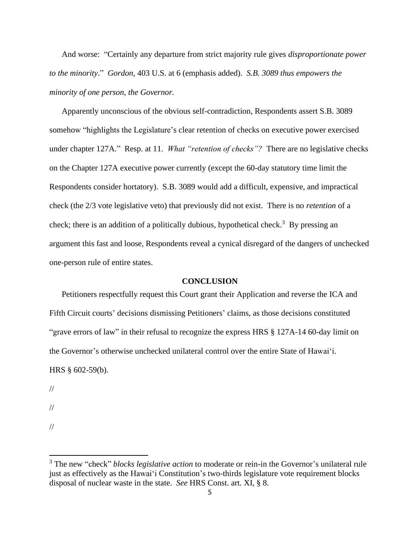And worse:"Certainly any departure from strict majority rule gives *disproportionate power to the minority*." *Gordon,* 403 U.S. at 6 (emphasis added). *S.B. 3089 thus empowers the minority of one person, the Governor.* 

Apparently unconscious of the obvious self-contradiction, Respondents assert S.B. 3089 somehow "highlights the Legislature's clear retention of checks on executive power exercised under chapter 127A." Resp. at 11. *What "retention of checks"?* There are no legislative checks on the Chapter 127A executive power currently (except the 60-day statutory time limit the Respondents consider hortatory). S.B. 3089 would add a difficult, expensive, and impractical check (the 2/3 vote legislative veto) that previously did not exist. There is no *retention* of a check; there is an addition of a politically dubious, hypothetical check.<sup>3</sup> By pressing an argument this fast and loose, Respondents reveal a cynical disregard of the dangers of unchecked one-person rule of entire states.

#### **CONCLUSION**

Petitioners respectfully request this Court grant their Application and reverse the ICA and Fifth Circuit courts' decisions dismissing Petitioners' claims, as those decisions constituted "grave errors of law" in their refusal to recognize the express HRS § 127A-14 60-day limit on the Governor's otherwise unchecked unilateral control over the entire State of Hawai'i. HRS § 602-59(b).

//

//

<sup>//</sup>

<sup>3</sup> The new "check" *blocks legislative action* to moderate or rein-in the Governor's unilateral rule just as effectively as the Hawai'i Constitution's two-thirds legislature vote requirement blocks disposal of nuclear waste in the state. *See* HRS Const. art. XI, § 8.